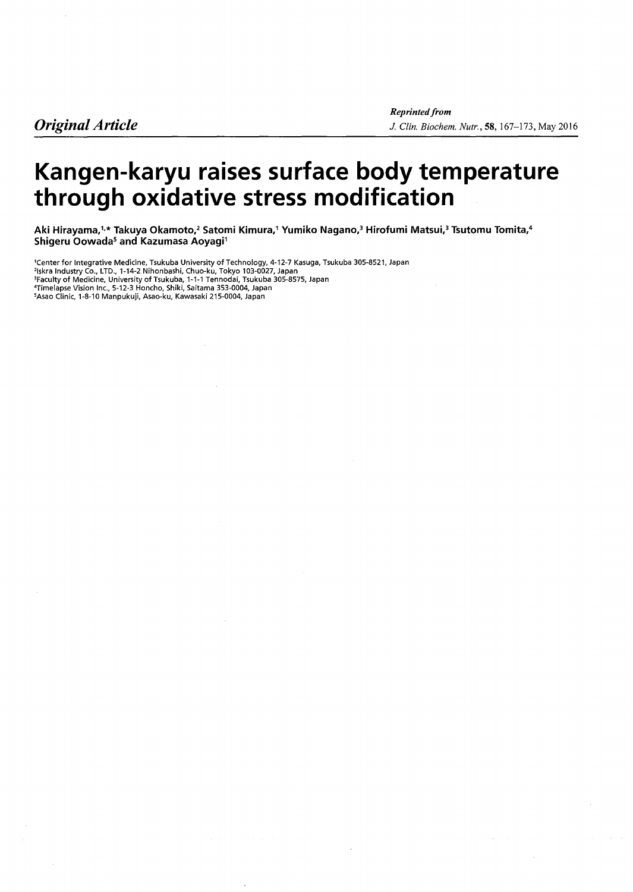## **Kangen-karyu raises surface body temperature through oxidative stress modification**

**Aki Hirayama,1·\* Takuya Okamoto,2 Satomi Kimura, 1 Yumiko Nagano,3 Hirofumi Matsui,3 Tsutomu Tomita,4 Shigeru Oowada<sup>5</sup>** and Kazumasa Aoyagi<sup>1</sup>

'Center for Integrative Medicine, Tsukuba University of Technology, 4-12-7 Kasuga, Tsukuba 305-8521, Japan <sup>2</sup>iskra Industry Co., LTD., 1-14-2 Nihonbashi, Chuo-ku, Tokyo 103-0027, Japan<br><sup>3</sup>Faculty of Medicine, University of Tsukuba, 1-1-1 Tennodai, Tsukuba 305-8575, Japan<br>"Timelapse Vision Inc., 5-12-3 Honcho, Shiki, Saitama 35 5Asao Clinic, 1-8-10 Manpukuji, Asao-ku, Kawasaki 215-0004, Japan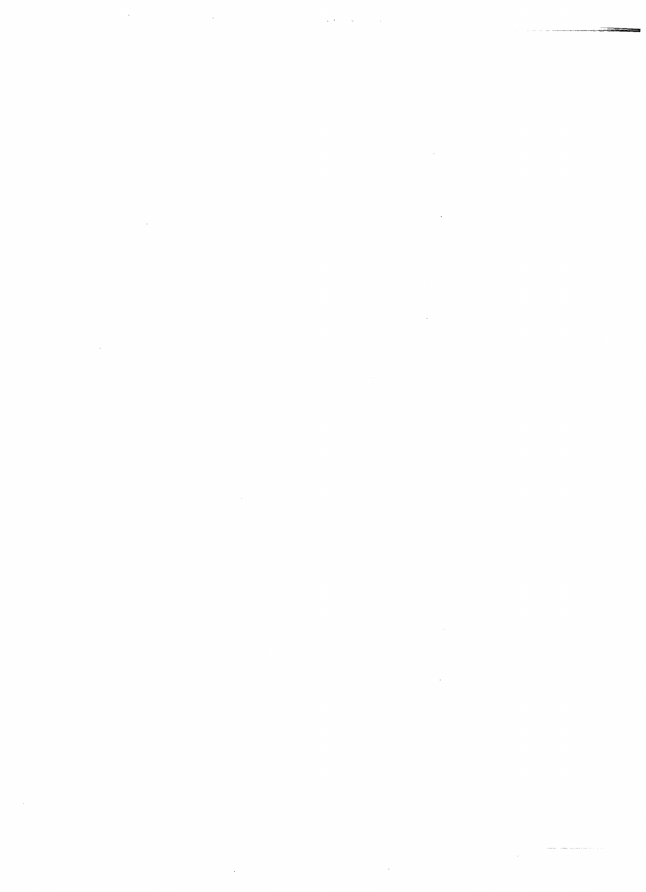$\mathcal{O}(\mathbb{R}^3)$  . The contract of the contract of the contract of the contract of  $\mathcal{O}(\mathbb{R}^3)$ 

 $\label{eq:2.1} \frac{1}{\sqrt{2}}\int_{\mathbb{R}^3}\frac{1}{\sqrt{2}}\left(\frac{1}{\sqrt{2}}\right)^2\frac{1}{\sqrt{2}}\left(\frac{1}{\sqrt{2}}\right)^2\frac{1}{\sqrt{2}}\left(\frac{1}{\sqrt{2}}\right)^2\frac{1}{\sqrt{2}}\left(\frac{1}{\sqrt{2}}\right)^2\frac{1}{\sqrt{2}}\left(\frac{1}{\sqrt{2}}\right)^2\frac{1}{\sqrt{2}}\frac{1}{\sqrt{2}}\frac{1}{\sqrt{2}}\frac{1}{\sqrt{2}}\frac{1}{\sqrt{2}}\frac{1}{\sqrt{2}}$  $\label{eq:2.1} \frac{1}{\sqrt{2}}\int_{\mathbb{R}^3}\frac{1}{\sqrt{2}}\left(\frac{1}{\sqrt{2}}\right)^2\frac{1}{\sqrt{2}}\left(\frac{1}{\sqrt{2}}\right)^2\frac{1}{\sqrt{2}}\left(\frac{1}{\sqrt{2}}\right)^2.$ 

 $\hat{\mathcal{L}}$ 

 $\mathcal{F}_{\mathcal{G}}$ 

 $\label{eq:2.1} \frac{1}{\sqrt{2}}\int_{0}^{\infty}\frac{1}{\sqrt{2\pi}}\left(\frac{1}{\sqrt{2\pi}}\right)^{2\alpha} \frac{1}{\sqrt{2\pi}}\int_{0}^{\infty}\frac{1}{\sqrt{2\pi}}\left(\frac{1}{\sqrt{2\pi}}\right)^{\alpha} \frac{1}{\sqrt{2\pi}}\int_{0}^{\infty}\frac{1}{\sqrt{2\pi}}\frac{1}{\sqrt{2\pi}}\frac{1}{\sqrt{2\pi}}\frac{1}{\sqrt{2\pi}}\frac{1}{\sqrt{2\pi}}\frac{1}{\sqrt{2\pi}}\frac{1}{\sqrt{2\pi}}$ 

 $\label{eq:2.1} \frac{1}{\sqrt{2}}\int_{\mathbb{R}^3}\frac{1}{\sqrt{2}}\left(\frac{1}{\sqrt{2}}\right)^2\frac{1}{\sqrt{2}}\left(\frac{1}{\sqrt{2}}\right)^2\frac{1}{\sqrt{2}}\left(\frac{1}{\sqrt{2}}\right)^2\frac{1}{\sqrt{2}}\left(\frac{1}{\sqrt{2}}\right)^2.$ 

 $\label{eq:2.1} \frac{1}{\sqrt{2}}\int_{\mathbb{R}^3}\frac{1}{\sqrt{2}}\left(\frac{1}{\sqrt{2}}\right)^2\frac{1}{\sqrt{2}}\left(\frac{1}{\sqrt{2}}\right)^2\frac{1}{\sqrt{2}}\left(\frac{1}{\sqrt{2}}\right)^2\frac{1}{\sqrt{2}}\left(\frac{1}{\sqrt{2}}\right)^2\frac{1}{\sqrt{2}}\left(\frac{1}{\sqrt{2}}\right)^2\frac{1}{\sqrt{2}}\frac{1}{\sqrt{2}}\frac{1}{\sqrt{2}}\frac{1}{\sqrt{2}}\frac{1}{\sqrt{2}}\frac{1}{\sqrt{2}}$ 

 $\label{eq:2} \frac{1}{2} \int_{0}^{2\pi} \frac{1}{2} \, \mathrm{d} \mu \, \mathrm{d} \mu \, \mathrm{d} \mu \, \mathrm{d} \mu \, \mathrm{d} \mu \, \mathrm{d} \mu \, \mathrm{d} \mu \, \mathrm{d} \mu \, \mathrm{d} \mu \, \mathrm{d} \mu \, \mathrm{d} \mu \, \mathrm{d} \mu \, \mathrm{d} \mu \, \mathrm{d} \mu \, \mathrm{d} \mu \, \mathrm{d} \mu \, \mathrm{d} \mu \, \mathrm{d} \mu \, \mathrm{d} \mu \, \mathrm{d} \mu \, \mathrm{d} \mu$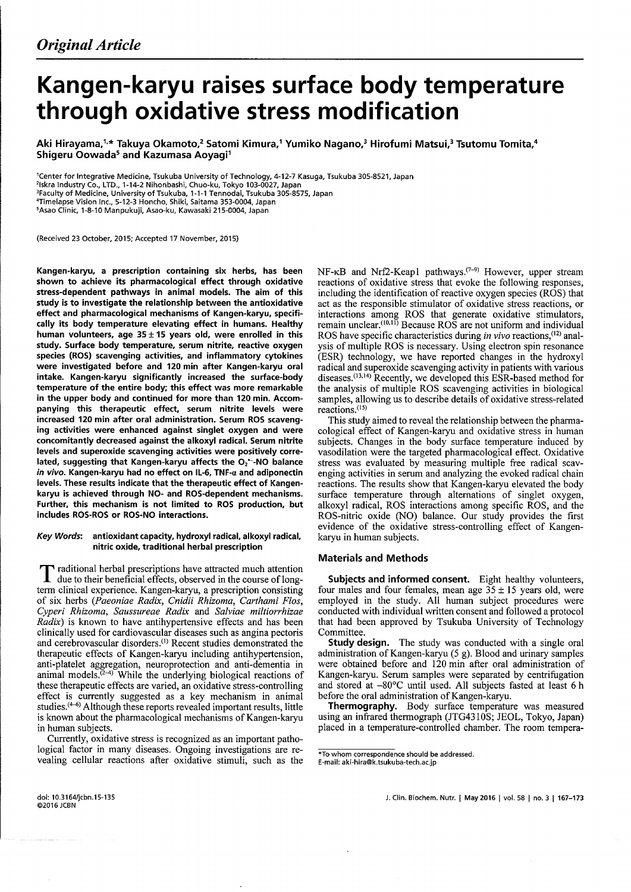# **Kangen-karyu raises surface body temperature through oxidative stress modification**

Aki Hirayama,<sup>1,\*</sup> Takuya Okamoto,<sup>2</sup> Satomi Kimura,<sup>1</sup> Yumiko Nagano,<sup>3</sup> Hirofumi Matsui,<sup>3</sup> Tsutomu Tomita,<sup>4</sup> Shigeru Oowada<sup>5</sup> and Kazumasa Aoyagi<sup>1</sup>

'Center for Integrative Medicine, Tsukuba University of Technology, 4-12-7 Kasuga, Tsukuba 305-8521, Japan 'Iskra Industry Co., LTD., 1-14-2 Nihonbashi, Chuo-ku, Tokyo 103-0027, Japan <sup>3</sup>Faculty of Medicine, University of Tsukuba, 1-1-1 Tennodai, Tsukuba 305-8575, Japan Timelapse Vision Inc., 5-12-3 Honcho, Shiki, Saitama 353-0004, Japan <sup>5</sup>Asao Clinic, 1-8-10 Manpukuji, Asao-ku, Kawasaki 215-0004, Japan

(Received 23 October, 2015; Accepted 17 November, 2015)

Kangen-karyu, a prescription containing six herbs, has been shown to achieve its pharmacological effect through oxidative stress-dependent pathways in animal models. The aim of this study is to investigate the relationship between the antioxidative effect and pharmacological mechanisms of Kangen-karyu, specifically its body temperature elevating effect in humans. Healthy human volunteers, age  $35 \pm 15$  years old, were enrolled in this study. Surface body temperature, serum nitrite, reactive oxygen species (ROS) scavenging activities, and inflammatory cytokines were investigated before and 120 min after Kangen-karyu oral intake. Kangen-karyu significantly increased the surface-body temperature of the entire body; this effect was more remarkable in the upper body and continued for more than 120 min. Accompanying this therapeutic effect, serum nitrite levels were increased 120 min after oral administration. Serum ROS scavenging activities were enhanced against singlet oxygen and were concomitantly decreased against the alkoxyl radical. Serum nitrite levels and superoxide scavenging activities were positively correlated, suggesting that Kangen-karyu affects the O<sub>2</sub><sup>--</sup>-NO balance *in vivo.* Kangen-karyu had no effect on IL-6, TNF-a and adiponectin levels. These results indicate that the therapeutic effect of Kangenkaryu is achieved through NO- and ROS-dependent mechanisms. Further, this mechanism is not limited to ROS production, but includes ROS-ROS or ROS-NO interactions.

## Key Words: antioxidant capacity, hydroxyl radical, alkoxyl radical, nitric oxide, traditional herbal prescription

T raditional herbal prescriptions have attracted much attention due to their beneficial effects, observed in the course oflongterm clinical experience. Kangen-karyu, a prescription consisting of six herbs *(Paeoniae Radix, Cnidii Rhizoma, Carthami Flos, Cyperi Rhizoma, Saussureae Radix* and *Salviae miltiorrhizae Radix)* is known to have antihypertensive effects and has been clinically used for cardiovascular diseases such as angina pectoris and cerebrovascular disorders.<sup>(1)</sup> Recent studies demonstrated the therapeutic effects of Kangen-karyu including antihypertension, anti-platelet aggregation, neuroprotection and anti-dementia in animal models.  $(2-4)$  While the underlying biological reactions of these therapeutic effects are varied, an oxidative stress-controlling effect is currently suggested as a key mechanism in animal studies. $(4-6)$  Although these reports revealed important results, little is known about the pharmacological mechanisms of Kangen-karyu in human subjects.

Currently, oxidative stress is recognized as an important pathological factor in many diseases. Ongoing investigations are revealing cellular reactions after oxidative stimuli, such as the NF-KB and Nrf2-Keap1 pathways.<sup>(7-9)</sup> However, upper stream reactions of oxidative stress that evoke the following responses, including the identification of reactive oxygen species (ROS) that act as the responsible stimulator of oxidative stress reactions, or interactions among ROS that generate oxidative stimulators, remain unclear.<sup>(10,11)</sup> Because ROS are not uniform and individual ROS have specific characteristics during *in vivo* reactions,<12> analysis of multiple ROS is necessary. Using electron spin resonance (ESR) technology, we have reported changes in the hydroxyl radical and superoxide scavenging activity in patients with various diseases.<sup>(13,14)</sup> Recently, we developed this ESR-based method for the analysis of multiple ROS scavenging activities in biological samples, allowing us to describe details of oxidative stress-related reactions.<sup>(15)</sup>

This study aimed to reveal the relationship between the pharmacological effect of Kangen-karyu and oxidative stress in human subjects. Changes in the body surface temperature induced by vasodilation were the targeted pharmacological effect. Oxidative stress was evaluated by measuring multiple free radical scavenging activities in serum and analyzing the evoked radical chain reactions. The results show that Kangen-karyu elevated the body surface temperature through alternations of singlet oxygen, alkoxyl radical, ROS interactions among specific ROS, and the ROS-nitric oxide (NO) balance. Our study provides the first evidence of the oxidative stress-controlling effect of Kangenkaryu in human subjects.

## Materials and Methods

Subjects and informed consent. Eight healthy volunteers, four males and four females, mean age  $35 \pm 15$  years old, were employed in the study. All human subject procedures were conducted with individual written consent and followed a protocol that had been approved by Tsukuba University of Technology Committee.

**Study design.** The study was conducted with a single oral administration of Kangen-karyu (5 g). Blood and urinary samples were obtained before and 120 min after oral administration of Kangen-karyu. Serum samples were separated by centrifugation and stored at -80°C until used. All subjects fasted at least 6 h before the oral administration of Kangen-karyu.

Thermography. Body surface temperature was measured using an infrared thermograph (JTG4310S; JEOL, Tokyo, Japan) placed in a temperature-controlled chamber. The room tempera-

<sup>\*</sup>To whom correspondence should be addressed.

E-mail: aki-hira@k.tsukuba-tech.ac.jp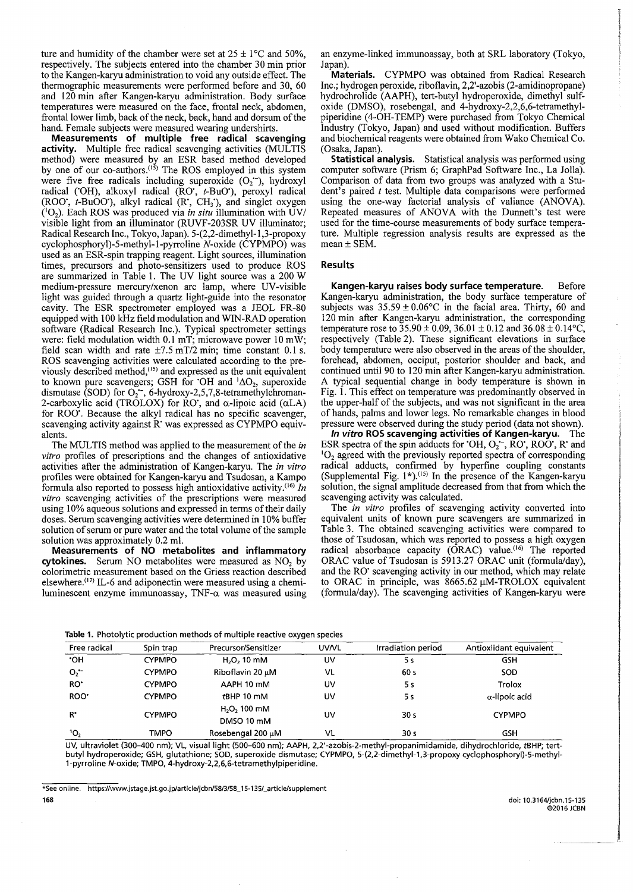ture and humidity of the chamber were set at  $25 \pm 1$ °C and 50%, respectively. The subjects entered into the chamber 30 min prior to the Kangen-karyu administration to void any outside effect. The thermographic measurements were performed before and 30, 60 and 120 min after Kangen-karyu administration. Body surface temperatures were measured on the face, frontal neck, abdomen, frontal lower limb, back of the neck, back, hand and dorsum of the hand. Female subjects were measured wearing undershirts.

**Measurements of multiple free radical scavenging activity.** Multiple free radical scavenging activities (MULTIS method) were measured by an ESR based method developed by one of our co-authors.<sup> $(15)$ </sup> The ROS employed in this system were five free radicals including superoxide  $(O_2^-)$ , hydroxyl radical ("OH), alkoxyl radical (RO", t-BuO'), peroxyl radical  $(ROO, t-BuOO)$ , alkyl radical  $(R, CH<sub>3</sub>)$ , and singlet oxygen (102). Each ROS was produced via *in situ* illumination with UV/ visible light from an illuminator (RUVF-203SR UV illuminator; Radical Research Inc., Tokyo, Japan). 5-(2,2-dimethyl-1,3-propoxy cyclophosphoryl)-5-methyl-1-pyrroline N-oxide (CYPMPO) was used as an ESR-spin trapping reagent. Light sources, illumination times, precursors and photo-sensitizers used to produce ROS are summarized in Table 1. The UV light source was a 200 W medium-pressure mercury/xenon arc lamp, where UV-visible light was guided through a quartz light-guide into the resonator cavity. The ESR spectrometer employed was a JEOL FR-80 equipped with 100 kHz field modulation and WIN-RAD operation software (Radical Research Inc.). Typical spectrometer settings were: field modulation width 0.1 mT; microwave power 10 mW; field scan width and rate  $\pm$ 7.5 mT/2 min; time constant 0.1 s. ROS scavenging activities were calculated according to the previously described method, $^{(15)}$  and expressed as the unit equivalent to known pure scavengers; GSH for 'OH and  $^1\Delta O_2$ , superoxide dismutase (SOD) for  $O_2$ <sup>-</sup>, 6-hydroxy-2,5,7,8-tetramethylchroman-2-carboxylic acid (TROLOX) for RO', and  $\alpha$ -lipoic acid ( $\alpha$ LA) for ROO'. Because the alkyl radical has no specific scavenger, scavenging activity against R' was expressed as CYPMPO equivalents.

The MULTIS method was applied to the measurement of the *in vitro* profiles of prescriptions and the changes of antioxidative activities after the administration of Kangen-karyu. The *in vitro*  profiles were obtained for Kangen-karyu and Tsudosan, a Kampo formula also reported to possess high antioxidative activity.<sup>(16)</sup> In *vitro* scavenging activities of the prescriptions were measured using 10% aqueous solutions and expressed in terms of their daily doses. Serum scavenging activities were determined in 10% buffer solution of serum or pure water and the total volume of the sample solution was approximately 0.2 ml.

**Measurements of NO metabolites and inflammatory cytokines.** Serum NO metabolites were measured as NO<sub>2</sub> by colorimetric measurement based on the Griess reaction described elsewhere.<17> IL-6 and adiponectin were measured using a chemiluminescent enzyme immunoassay, TNF- $\alpha$  was measured using an enzyme-linked immunoassay, both at SRL laboratory (Tokyo, Japan).

**Materials.** CYPMPO was obtained from Radical Research Inc.; hydrogen peroxide, riboflavin, 2,2'-azobis (2-amidinopropane) hydrochrolide (AAPH), tert-butyl hydroperoxide, dimethyl sulfoxide (DMSO), rosebengal, and 4-hydroxy-2,2,6,6-tetramethylpiperidine (4-0H-TEMP) were purchased from Tokyo Chemical Industry (Tokyo, Japan) and used without modification. Buffers and biochemical reagents were obtained from Wako Chemical Co. (Osaka, Japan).

**Statistical analysis.** Statistical analysis was performed using computer software (Prism 6; GraphPad Software Inc., La Jolla). Comparison of data from two groups was analyzed with a Student's paired *t* test. Multiple data comparisons were performed using the one-way factorial analysis of valiance (ANOVA). Repeated measures of ANOVA with the Dunnett's test were used for the time-course measurements of body surface temperature. Multiple regression analysis results are expressed as the  $mean \pm SEM$ .

## **Results**

**Kangen-karyu raises body surface temperature.** Before Kangen-karyu administration, the body surface temperature of subjects was  $35.59 \pm 0.06^{\circ}$  in the facial area. Thirty, 60 and 120 min after Kangen-karyu administration, the corresponding temperature rose to  $35.90 \pm 0.09$ ,  $36.01 \pm 0.12$  and  $36.08 \pm 0.14$ °C, respectively (Table 2). These significant elevations in surface body temperature were also observed in the areas of the shoulder, forehead, abdomen, occiput, posterior shoulder and back, and continued until 90 to 120 min after Kangen-karyu administration. A typical sequential change in body temperature is shown in Fig. 1. This effect on temperature was predominantly observed in the upper-half of the subjects, and was not significant in the area of hands, palms and lower legs. No remarkable changes in blood pressure were observed during the study period (data not shown).

**In vitro ROS scavenging activities of Kangen-karyu.** The ESR spectra of the spin adducts for 'OH,  $O_2$ ', RO', ROO', R' and  ${}^{1}O_{2}$  agreed with the previously reported spectra of corresponding radical adducts, confirmed by hyperfine coupling constants (Supplemental Fig.  $1^*$ ).<sup>(15)</sup> In the presence of the Kangen-karyu solution, the signal amplitude decreased from that from which the scavenging activity was calculated.

The *in vitro* profiles of scavenging activity converted into equivalent units of known pure scavengers are summarized in Table 3. The obtained scavenging activities were compared to those of Tsudosan, which was reported to possess a high oxygen radical absorbance capacity (ORAC) value.<sup>(16)</sup> The reported ORAC value of Tsudosan is 5913.27 ORAC unit (formula/day), and the RO' scavenging activity in our method, which may relate to ORAC in principle, was  $8665.62 \mu M-TROLOX$  equivalent (formula/day). The scavenging activities of Kangen-karyu were

| Table 1. Photolytic production methods of multiple reactive oxygen species |  |  |  |  |  |  |  |
|----------------------------------------------------------------------------|--|--|--|--|--|--|--|
|----------------------------------------------------------------------------|--|--|--|--|--|--|--|

| Free radical       | Spin trap     | Precursor/Sensitizer                | <b>UV/VL</b> | Irradiation period | Antioxiidant equivalent |
|--------------------|---------------|-------------------------------------|--------------|--------------------|-------------------------|
| •он                | <b>CYPMPO</b> | H <sub>2</sub> O <sub>2</sub> 10 mM | U٧           | 5 s                | GSH                     |
| $O_2$ <sup>-</sup> | <b>CYPMPO</b> | Riboflavin 20 µM                    | VL           | 60 <sub>5</sub>    | SOD                     |
| RO.                | <b>CYPMPO</b> | AAPH 10 mM                          | UV           | 5 s                | Trolox                  |
| ROO*               | <b>CYPMPO</b> | tBHP 10 mM                          | UV           | 5 s                | α-lipoic acid           |
| $R^{\bullet}$      | <b>CYPMPO</b> | $H2O2$ 100 mM<br>DMSO 10 mM         | UV           | 30 s               | <b>CYPMPO</b>           |
| ${}^{1}O_{2}$      | TMPO          | Rosebengal 200 µM                   | VL           | 30 s               | GSH                     |

UV, ultraviolet (300-400 nm); VL, visual light (500-600 nm); AAPH, 2,2'-azobis-2-methyl-propanimidamide, dihydrochloride, tBHP; tertbutyl hydroperoxide; GSH, glutathione; SOD, superoxide dismutase; CYPMPO, 5-(2,2-dimethyl-1,3-propoxy cyclophosphoryl)-5-methyl-1-pyrroline N-oxide; TMPO, 4-hydroxy-2,2,6,6-tetramethylpiperidine.

\*See online. https://www.jstage.jst.go.jp/article/jcbn/58/3/58\_ 15-135/\_article/supplement 168 doi: 10.3164/jcbn.15-135

©2016 JCBN

--------l ...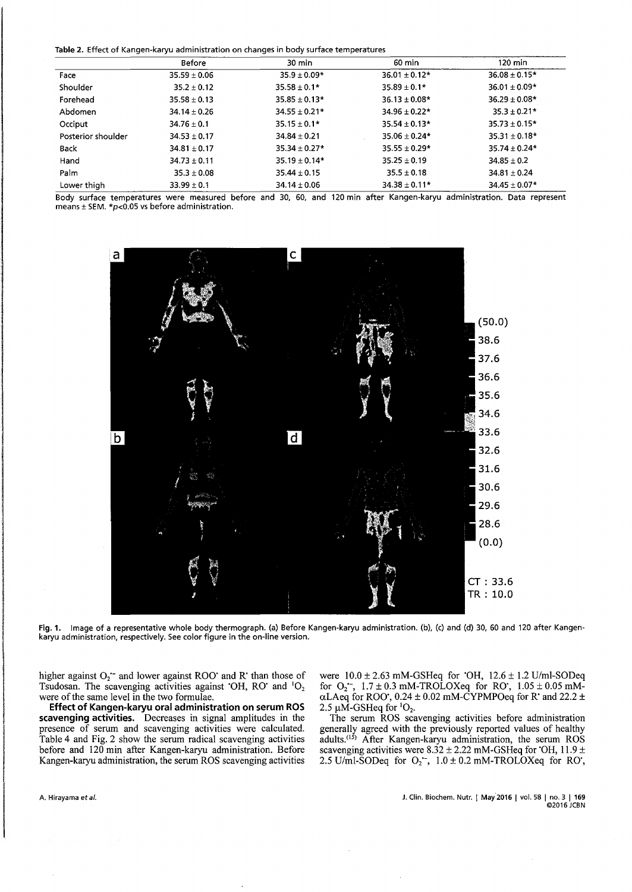**Table** 2. Effect of Kangen-karyu administration on changes in body surface temperatures

|                    | Before           | 30 min            | 60 min            | $120 \text{ min}$  |
|--------------------|------------------|-------------------|-------------------|--------------------|
| Face               | $35.59 \pm 0.06$ | $35.9 \pm 0.09*$  | $36.01 \pm 0.12*$ | $36.08 \pm 0.15*$  |
| Shoulder           | $35.2 \pm 0.12$  | $35.58 \pm 0.1*$  | $35.89 \pm 0.1*$  | $36.01 \pm 0.09*$  |
| Forehead           | $35.58 \pm 0.13$ | $35.85 \pm 0.13*$ | $36.13 \pm 0.08*$ | $36.29 \pm 0.08*$  |
| Abdomen            | $34.14 \pm 0.26$ | $34.55 \pm 0.21*$ | $34.96 \pm 0.22*$ | $35.3 \pm 0.21*$   |
| Occiput            | $34.76 \pm 0.1$  | $35.15 \pm 0.1*$  | $35.54 \pm 0.13*$ | $35.73 \pm 0.15*$  |
| Posterior shoulder | $34.53 \pm 0.17$ | $34.84 \pm 0.21$  | $35.06 \pm 0.24*$ | $35.31 \pm 0.18$ * |
| Back               | $34.81 \pm 0.17$ | $35.34 \pm 0.27*$ | $35.55 \pm 0.29*$ | $35.74 \pm 0.24*$  |
| Hand               | $34.73 \pm 0.11$ | $35.19 \pm 0.14*$ | $35.25 \pm 0.19$  | $34.85 \pm 0.2$    |
| Palm               | $35.3 \pm 0.08$  | $35.44 \pm 0.15$  | $35.5 \pm 0.18$   | $34.81 \pm 0.24$   |
| Lower thigh        | $33.99 \pm 0.1$  | $34.14 \pm 0.06$  | $34.38 \pm 0.11*$ | $34.45 \pm 0.07*$  |

Body surface temperatures were measured before and 30, 60, and 120 min after Kangen-karyu administration. Data represent means  $\pm$  SEM. \*p<0.05 vs before administration.



**Fig. 1.** Image of a representative whole body thermograph. (a) Before Kangen-karyu administration. (b), (c) and (d) 30, 60 and 120 after Kangenkaryu administration, respectively. See color figure in the on-line version.

higher against  $O_2$ <sup>-</sup> and lower against ROO' and R' than those of Tsudosan. The scavenging activities against 'OH, RO' and  ${}^{1}O_{2}$ were of the same level in the two formulae.

**Effect of Kangen-karyu oral administration on serum ROS scavenging activities.** Decreases in signal amplitudes in the presence of serum and scavenging activities were calculated. Table 4 and Fig. 2 show the serum radical scavenging activities before and 120 min after Kangen-karyu administration. Before Kangen-karyu administration, the serum ROS scavenging activities

were  $10.0 \pm 2.63$  mM-GSHeq for 'OH,  $12.6 \pm 1.2$  U/ml-SODeq for  $O_2^-$ ,  $1.7 \pm 0.3$  mM-TROLOXeq for RO',  $1.05 \pm 0.05$  mM- $\alpha$ LAeq for ROO', 0.24  $\pm$  0.02 mM-CYPMPOeq for R' and 22.2  $\pm$ 2.5  $\mu$ M-GSHeq for  ${}^{1}O_{2}$ .

The serum ROS scavenging activities before administration generally agreed with the previously reported values of healthy adults.<sup>(15)</sup> After Kangen-karyu administration, the serum ROS scavenging activities were  $8.32 \pm 2.22$  mM-GSHeq for 'OH,  $11.9 \pm$ 2.5 U/ml-SODeq for  $O_2$ ;  $1.0 \pm 0.2$  mM-TROLOXeq for RO,

A. Hirayama et al.

J. Clin. Biochem. Nutr. | May 2016 | vol. 58 | no. 3 | 169 ©2016 JCBN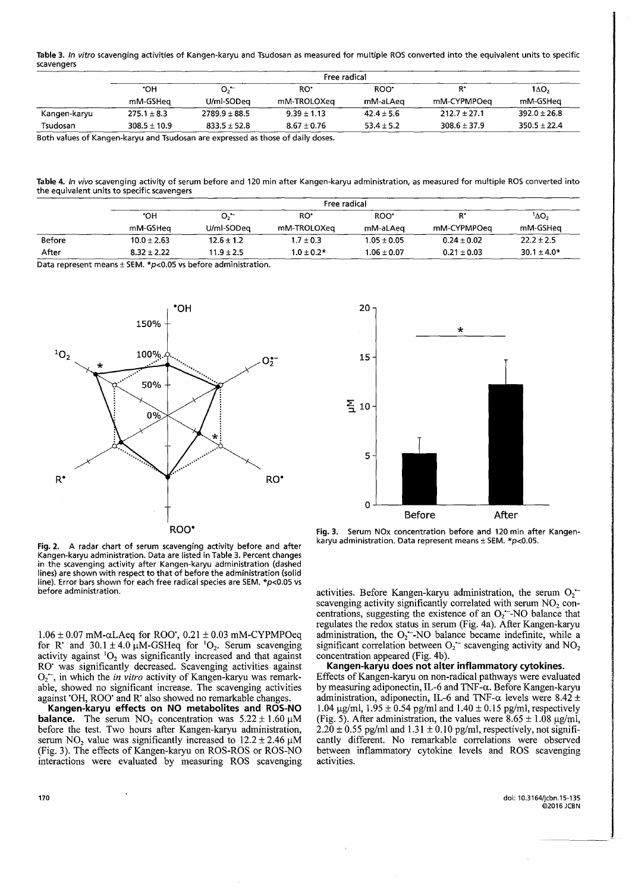Table 3. In vitro scavenging activities of Kangen-karyu and Tsudosan as measured for multiple ROS converted into the equivalent units to specific scavengers

| Free radical     |                   |                 |                |                  |                  |  |
|------------------|-------------------|-----------------|----------------|------------------|------------------|--|
| <b>•ОН</b>       | ο.∼               | RO <sup>*</sup> | ROO'           | n.               | 1∆O <sub>2</sub> |  |
| mM-GSHeg         | U/ml-SODea        | mM-TROLOXea     | mM-aLAeg       | mM-CYPMPOeg      | mM-GSHea         |  |
| $275.1 \pm 8.3$  | $2789.9 \pm 88.5$ | $9.39 \pm 1.13$ | $42.4 \pm 5.6$ | $212.7 \pm 27.1$ | $392.0 \pm 26.8$ |  |
| $308.5 \pm 10.9$ | $833.5 \pm 52.8$  | $8.67 + 0.76$   | $53.4 \pm 5.2$ | $308.6 \pm 37.9$ | $350.5 \pm 22.4$ |  |
|                  |                   |                 |                |                  |                  |  |

Both values of Kangen-karyu and Tsudosan are expressed as those of daily doses.

Table 4. In vivo scavenging activity of serum before and 120 min after Kangen-karyu administration, as measured for multiple ROS converted into the equivalent units to specific scavengers

|               |                 | Free radical   |                |                 |                 |                 |  |  |  |
|---------------|-----------------|----------------|----------------|-----------------|-----------------|-----------------|--|--|--|
|               | •он             | o,•            | RO.            | ROO'            | ĸ.              | 1 <sub>AO</sub> |  |  |  |
|               | mM-GSHea        | U/ml-SODeg     | mM-TROLOXea    | mM-aLAeg        | mM-CYPMPOea     | mM-GSHea        |  |  |  |
| <b>Before</b> | $10.0 \pm 2.63$ | $12.6 \pm 1.2$ | $1.7 \pm 0.3$  | $1.05 \pm 0.05$ | $0.24 \pm 0.02$ | $22.2 \pm 2.5$  |  |  |  |
| After         | $8.32 \pm 2.22$ | $11.9 \pm 2.5$ | $1.0 \pm 0.2*$ | $1.06\pm0.07$   | $0.21 \pm 0.03$ | $30.1 \pm 4.0*$ |  |  |  |

Data represent means  $\pm$  SEM. \*p<0.05 vs before administration.



Fig. 2. A radar chart of serum scavenging activity before and after Kangen-karyu administration. Data are listed in Table 3. Percent changes in the scavenging activity after Kangen-karyu administration (dashed lines) are shown with respect to that of before the administration (solid line). Error bars shown for each free radical species are SEM. \*p<0.05 vs before administration.

 $1.06 \pm 0.07$  mM- $\alpha$ LAeq for ROO',  $0.21 \pm 0.03$  mM-CYPMPOeq for R' and  $30.1 \pm 4.0 \mu M$ -GSHeq for  ${}^{1}O_{2}$ . Serum scavenging activity against  ${}^{1}O_{2}$  was significantly increased and that against RO" was significantly decreased. Scavenging activities against O<sub>2</sub><sup>--</sup>, in which the *in vitro* activity of Kangen-karyu was remarkable, showed no significant increase. The scavenging activities against "OH, ROO" and R" also showed no remarkable changes.

Kangen-karyu effects on NO metabolites and ROS-NO **balance.** The serum  $NO<sub>2</sub>$  concentration was  $5.22 \pm 1.60 \mu M$ before the test. Two hours after Kangen-karyu administration, serum NO<sub>2</sub> value was significantly increased to  $12.2 \pm 2.46 \mu M$ (Fig. 3). The effects of Kangen-karyu on ROS-ROS or ROS-NO interactions were evaluated by measuring ROS scavenging



Fig. 3. Serum NOx concentration before and 120 min after Kangenkaryu administration. Data represent means  $\pm$  SEM. \*p<0.05.

activities. Before Kangen-karyu administration, the serum  $O_2$ . scavenging activity significantly correlated with serum  $NO<sub>2</sub>$  concentrations, suggesting the existence of an  $O_2$ <sup>--</sup>NO balance that regulates the redox status in serum (Fig. 4a). After Kangen-karyu administration, the  $O_2$ -NO balance became indefinite, while a significant correlation between  $O_2$ <sup>-</sup> scavenging activity and  $NO_2$ concentration appeared (Fig. 4b).

Kangen-karyu does not alter inflammatory cytokines. Effects of Kangen-karyu on non-radical pathways were evaluated by measuring adiponectin, IL-6 and TNF-a. Before Kangen-karyu administration, adiponectin, IL-6 and TNF- $\alpha$  levels were 8.42 ± 1.04  $\mu$ g/ml, 1.95  $\pm$  0.54 pg/ml and 1.40  $\pm$  0.15 pg/ml, respectively (Fig. 5). After administration, the values were  $8.65 \pm 1.08$  µg/ml,  $2.20 \pm 0.55$  pg/ml and  $1.31 \pm 0.10$  pg/ml, respectively, not significantly different. No remarkable correlations were observed between inflammatory cytokine levels and ROS scavenging activities.

> doi: 10.3164/jcbn.15-135 ©2016 JCBN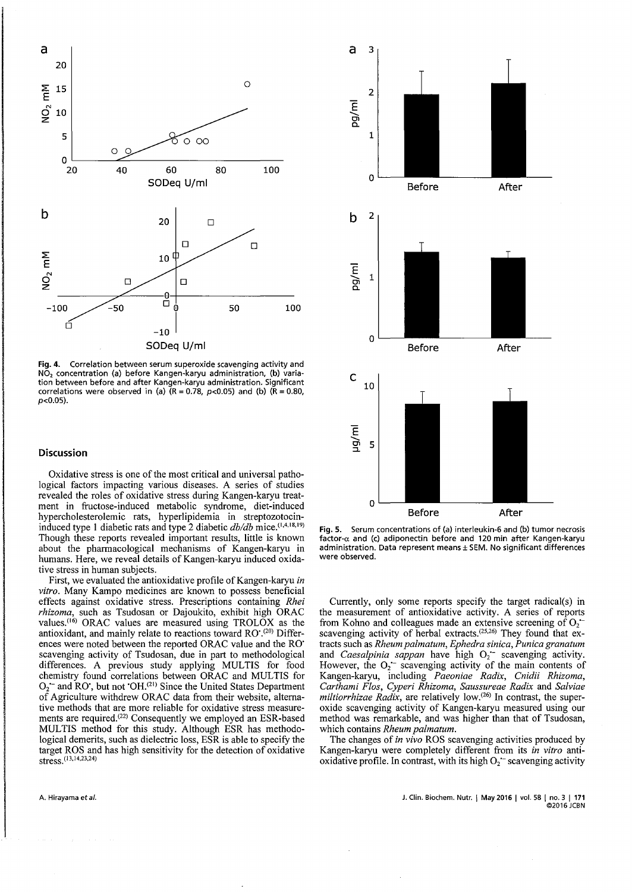

Fig. 4. Correlation between serum superoxide scavenging activity and N02 concentration (a) before Kangen-karyu administration, (b) variation between before and after Kangen-karyu administration. Significant correlations were observed in (a) (R = 0.78,  $p$  < 0.05) and (b) (R = 0.80, p<0.05).

## Discussion

Oxidative stress is one of the most critical and universal pathological factors impacting various diseases. A series of studies revealed the roles of oxidative stress during Kangen-karyu treatment in fructose-induced metabolic syndrome, diet-induced hypercholesterolemic rats, hyperlipidemia in streptozotocininduced type 1 diabetic rats and type 2 diabetic *db/db* mice.<sup>(1,4,18,19)</sup> Though these reports revealed important results, little is known about the pharmacological mechanisms of Kangen-karyu in humans. Here, we reveal details of Kangen-karyu induced oxidative stress in human subjects.

First, we evaluated the antioxidative profile of Kangen-karyu *in vitro.* Many Kampo medicines are known to possess beneficial effects against oxidative stress. Prescriptions containing *Rhei rhizoma,* such as Tsudosan or Dajoukito, exhibit high ORAC values.<sup> $(16)$ </sup> ORAC values are measured using TROLOX as the antioxidant, and mainly relate to reactions toward RO<sup>.(20)</sup> Differences were noted between the reported ORAC value and the RO" scavenging activity of Tsudosan, due in part to methodological differences. A previous study applying MULTIS for food chemistry found correlations between ORAC and MULTIS for  $O_2$ <sup>-</sup> and RO<sup>\*</sup>, but not 'OH<sup>(21)</sup> Since the United States Department of Agriculture withdrew ORAC data from their website, alternative methods that are more reliable for oxidative stress measurements are required.<sup>(22)</sup> Consequently we employed an ESR-based MULTIS method for this study. Although ESR has methodological demerits, such as dielectric loss, ESR is able to specify the target ROS and has high sensitivity for the detection of oxidative stress. (13,14,23,24)



Fig. 5. Serum concentrations of (a) interleukin-6 and (b) tumor necrosis factor- $\alpha$  and (c) adiponectin before and 120 min after Kangen-karyu administration. Data represent means± SEM. No significant differences were observed.

Currently, only some reports specify the target radical(s) in the measurement of antioxidative activity. A series of reports from Kohno and colleagues made an extensive screening of  $O_2$ . scavenging activity of herbal extracts.<sup> $(25,26)$ </sup> They found that extracts such as *Rheum palmatum, Ephedra sinica, Punica granatum*  and *Caesalpinia sappan* have high O<sub>2</sub><sup>-</sup> scavenging activity. However, the  $O_2$  scavenging activity of the main contents of Kangen-karyu, including *Paeoniae Radix, Cnidii Rhizoma, Carthami Flos, Cyperi Rhizoma, Saussureae Radix* and *Salviae miltiorrhizae Radix*, are relatively low.<sup>(26)</sup> In contrast, the superoxide scavenging activity of Kangen-karyu measured using our method was remarkable, and was higher than that of Tsudosan, which contains *Rheum palmatum.* 

The changes of *in vivo* ROS scavenging activities produced by Kangen-karyu were completely different from its *in vitro* antioxidative profile. In contrast, with its high  $O_2$  scavenging activity

A. Hirayama *et al.*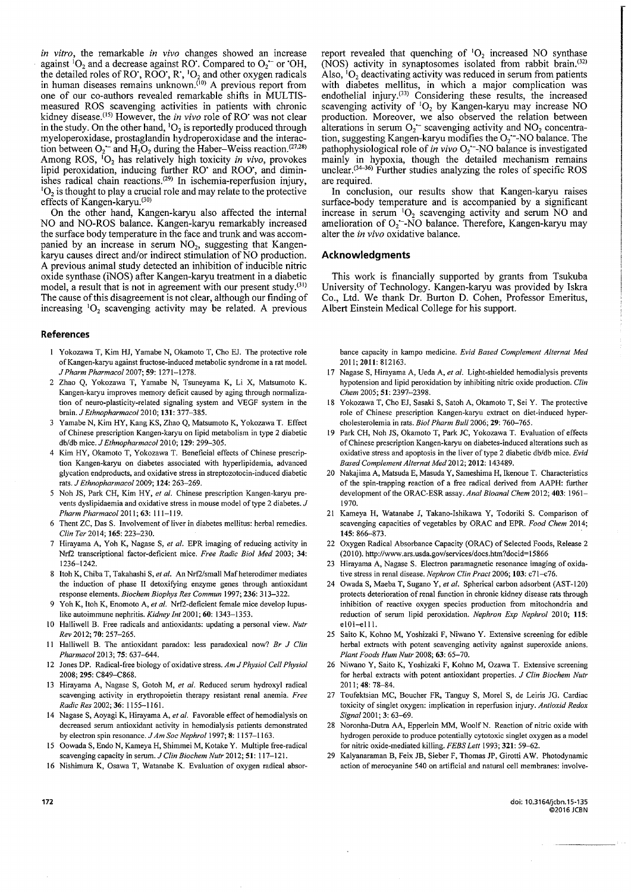*in vitro,* the remarkable *in vivo* changes showed an increase against  ${}^{1}O_{2}$  and a decrease against RO'. Compared to  $O_{2}$  or 'OH, the detailed roles of RO', ROO', R',  ${}^{1}O_{2}$  and other oxygen radicals in human diseases remains unknown.<sup>(Io)</sup> A previous report from one of our co-authors revealed remarkable shifts in MUL TISmeasured ROS scavenging activities in patients with chronic kidney disease.<sup>(15)</sup> However, the *in vivo* role of RO' was not clear in the study. On the other hand,  ${}^{1}O_{2}$  is reportedly produced through myeloperoxidase, prostaglandin hydroperoxidase and the interaction between  $O_2$  and  $H_2O_2$  during the Haber–Weiss reaction.<sup>(27,28)</sup> Among ROS, <sup>1</sup>O<sub>2</sub> has relatively high toxicity *in vivo*, provokes lipid peroxidation, inducing further RO' and ROO', and diminishes radical chain reactions.<sup>(29)</sup> In ischemia-reperfusion injury,<br><sup>1</sup>O<sub>2</sub> is thought to play a crucial role and may relate to the protective  ${}^{1}O_{2}$  is thought to play a crucial role and may relate to the protective effects of Kangen-karyu.<sup>(30)</sup>

On the other hand, Kangen-karyu also affected the internal NO and NO-ROS balance. Kangen-karyu remarkably increased the surface body temperature in the face and trunk and was accompanied by an increase in serum  $NO<sub>2</sub>$ , suggesting that Kangenkaryu causes direct and/or indirect stimulation of NO production. A previous animal study detected an inhibition of inducible nitric oxide synthase (iNOS) after Kangen-karyu treatment in a diabetic model, a result that is not in agreement with our present study. $(31)$ The cause of this disagreement is not clear, although our finding of increasing  ${}^{1}O_{2}$  scavenging activity may be related. A previous

### **References**

- Yokozawa T, Kim HJ, Yamabe N, Okamoto T, Cho EJ. The protective role ofKangen-karyu against fructose-induced metabolic syndrome in a rat model. J *Pharm Pharmacol* 2007; 59: 1271-1278.
- 2 Zhao Q, Yokozawa T, Yamabe N, Tsuneyama K, Li X, Matsumoto K. Kangen-karyu improves memory deficit caused by aging through normalization of neuro-plasticity-related signaling system and VEGF system in the brain. J *Ethnopharmacol* 2010; 131: 377-385.
- 3 Yamabe N, Kim HY, Kang KS, Zhao Q, Matsumoto K, Yokozawa T. Effect of Chinese prescription Kangen-karyu on lipid metabolism in type 2 diabetic db/db mice. J *Ethnopharmacol* 2010; 129: 299-305.
- Kim HY, Okamoto T, Yokozawa T. Beneficial effects of Chinese prescription Kangen-karyu on diabetes associated with hyperlipidemia, advanced glycation endproducts, and oxidative stress in streptozotocin-induced diabetic rats. J *Ethnopharmacol* 2009; 124: 263-269.
- 5 Noh JS, Park CH, Kim HY, *et al.* Chinese prescription Kangen-karyu prevents dyslipidaemia and oxidative stress in mouse model of type 2 diabetes. J *PharmPharmacol2011;63:* 111-119.
- 6 Thent ZC, Das S. Involvement of liver in diabetes mellitus: herbal remedies. *Clin Ter* 2014; 165: 223-230.
- 7 Hirayama A, Yoh K, Nagase S, *et al.* EPR imaging of reducing activity in Nrf2 transcriptional factor-deficient mice. *Free Radie Biol Med* 2003; 34: 1236-1242.
- 8 ltoh K, Chiba T, Takahashi S, *et al.* An Nrf2/small Mafheterodimer mediates the induction of phase II detoxifying enzyme genes through antioxidant response elements. *Biochem Biophys Res Commun* 1997; 236: 313-322.
- Yoh K, Itoh K, Enomoto A, et al. Nrf2-deficient female mice develop lupuslike autoimmune nephritis. *Kidney Int* 2001; 60: 1343-1353.
- 10 Halliwell B. Free radicals and antioxidants: updating a personal view. *Nutr Rev* 2012; 70: 257-265.
- 11 Halliwell B. The antioxidant paradox: less paradoxical now? *Br* J *Clin Pharmacol* 2013; 75: 637-644.
- 12 Jones DP. Radical-free biology of oxidative stress. *Am* J *Physiol Cell Physiol*  2008; 295: C849-C868.
- 13 Hirayama A, Nagase S, Gotoh M, *et al.* Reduced serum hydroxyl radical scavenging activity in erythropoietin therapy resistant renal anemia. *Free Radie Res* 2002; 36: 1155-1161.
- 14 Nagase S, Aoyagi K, Hirayama A, et al. Favorable effect of hemodialysis on decreased serum antioxidant activity in hemodialysis patients demonstrated by electron spin resonance. J *Am Soc Nephrol* 1997; 8: 1157-1163.
- 15 Oowada S, Endo N, Kameya H, Shimmei M, Kotake Y. Multiple free-radical scavenging capacity in serum. J Clin Biochem Nutr 2012; 51: 117-121.
- 16 Nishimura K, Osawa T, Watanabe K. Evaluation of oxygen radical absor-

report revealed that quenching of  ${}^{1}O_{2}$  increased NO synthase (NOS) activity in synaptosomes isolated from rabbit brain.<sup> $(32)$ </sup> Also,  ${}^{1}O_{2}$  deactivating activity was reduced in serum from patients with diabetes mellitus, in which a major complication was endothelial injury. $^{(33)}$  Considering these results, the increased scavenging activity of  ${}^{1}O_{2}$  by Kangen-karyu may increase NO production. Moreover, we also observed the relation between alterations in serum  $O<sub>2</sub>$  scavenging activity and NO<sub>2</sub> concentration, suggesting Kangen-karyu modifies the  $O_2$  -NO balance. The pathophysiological role of *in vivo* O<sub>2</sub><sup>-</sup>-NO balance is investigated mainly in hypoxia, though the detailed mechanism remains unclear.  $(34-36)$  Further studies analyzing the roles of specific ROS are required.

In conclusion, our results show that Kangen-karyu raises surface-body temperature and is accompanied by a significant increase in serum  ${}^{1}O_{2}$  scavenging activity and serum NO and amelioration of  $O_2$ <sup>-</sup>-NO balance. Therefore, Kangen-karyu may alter the *in vivo* oxidative balance.

## **Acknowledgments**

This work is financially supported by grants from Tsukuba University of Technology. Kangen-karyu was provided by Iskra Co., Ltd. We thank Dr. Burton D. Cohen, Professor Emeritus, Albert Einstein Medical College for his support.

bance capacity in kampo medicine. *Evid Based Complement Alternat Med*  2011;2011:812163.

- 17 Nagase S, Hirayama A, Ueda A, *et al.* Light-shielded hemodialysis prevents hypotension and lipid peroxidation by inhibiting nitric oxide production. *Clin Chem* 2005; 51: 2397-2398.
- 18 Yokozawa T, Cho EJ, Sasaki S, Satoh A, Okamoto T, Sei Y. The protective role of Chinese prescription Kangen-karyu extract on diet-induced hypercholesterolemia in rats. *Biol Pharm Bull* 2006; 29: 760-765.
- 19 Park CH, Noh JS, Okamoto T, Park JC, Yokozawa T. Evaluation of effects of Chinese prescription Kangen-karyu on diabetes-induced alterations such as oxidative stress and apoptosis in the liver of type 2 diabetic db/db mice. *Evid Based Complement Alternat Med20I2;* 2012: 143489.
- 20 Nakajima A, Matsuda E, Masuda Y, Sameshima H, Ikenoue T. Characteristics of the spin-trapping reaction of a free radical derived from AAPH: further development of the ORAC-ESR assay. *Anal Bioanal Chem* 2012; 403: 1961- 1970.
- 21 Kameya H, Watanabe J, Takano-Ishikawa Y, Todoriki S. Comparison of scavenging capacities of vegetables by ORAC and EPR. *Food Chem* 2014; 145: 866-873.
- 22 Oxygen Radical Absorbance Capacity (ORAC) of Selected Foods, Release 2 (2010). http://www.ars.usda.gov/services/docs.htm?docid=15866
- 23 Hirayama A, Nagase S. Electron paramagnetic resonance imaging of oxidative stress in renal disease. *Nephron Clin Pract* 2006; 103: c71-c76.
- 24 Owada S, Maeba T, Sugano Y, *et al.* Spherical carbon adsorbent (AST-120) protects deterioration of renal function in chronic kidney disease rats through inhibition of reactive oxygen species production from mitochondria and reduction of serum lipid peroxidation. *Nephron Exp Nephrol* 2010; 115: e!Ol-el I I.
- 25 Saito K, Kohno M, Yoshizaki F, Niwano Y. Extensive screening for edible herbal extracts with potent scavenging activity against superoxide anions. *Plant Foods Hum Nutr* 2008; 63: 65-70.
- 26 Niwano Y, Saito K, Yoshizaki F, Kohno M, Ozawa T. Extensive screening for herbal extracts with potent antioxidant properties. J *C/in Biochem Nutr*  201I;48: 78-84.
- 27 Toufektsian MC, Boucher FR, Tanguy S, Morel S, de Leiris JG. Cardiac toxicity of singlet oxygen: implication in reperfusion injury. *Antioxid Redox Signal2001;* 3: 63-69.
- 28 Noronha-Dutra AA, Epperlein MM, Woolf N. Reaction of nitric oxide with hydrogen peroxide to produce potentially cytotoxic singlet oxygen as a model for nitric oxide-mediated killing. *FEES Lett* I 993; 321: 59-62.
- 29 Kalyanaraman B, Feix JB, Sieber F, Thomas JP, Girotti AW. Photodynamic action of merocyanine 540 on artificial and natural cell membranes: involve-

doi: 10.3164/jcbn.15-135 ©2016 JCBN